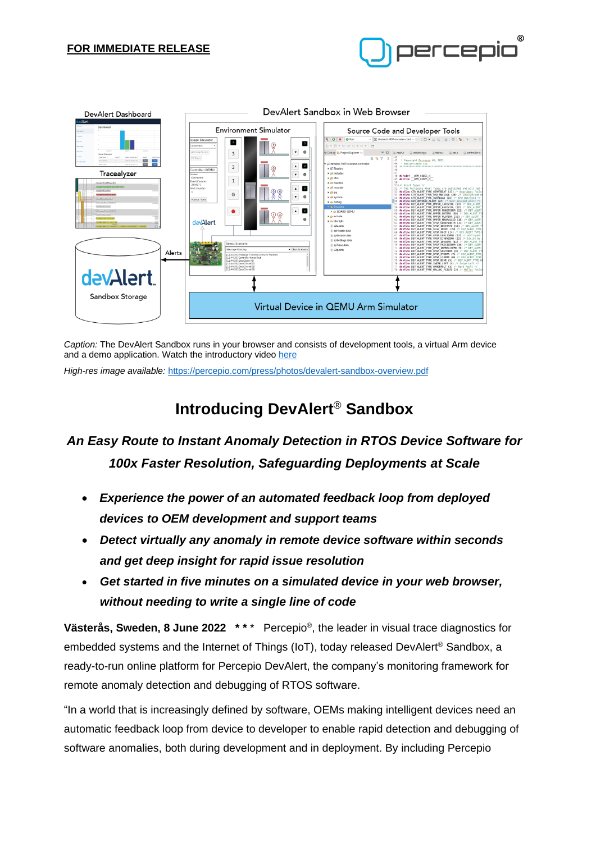## **FOR IMMEDIATE RELEASE**





*Caption:* The DevAlert Sandbox runs in your browser and consists of development tools, a virtual Arm device and a demo application. Watch the introductory video [here](https://vimeo.com/713275694)

*High-res image available:* <https://percepio.com/press/photos/devalert-sandbox-overview.pdf>

# **Introducing DevAlert**® **Sandbox**

## *An Easy Route to Instant Anomaly Detection in RTOS Device Software for 100x Faster Resolution, Safeguarding Deployments at Scale*

- *Experience the power of an automated feedback loop from deployed devices to OEM development and support teams*
- *Detect virtually any anomaly in remote device software within seconds and get deep insight for rapid issue resolution*
- *Get started in five minutes on a simulated device in your web browser, without needing to write a single line of code*

**Västerås, Sweden, 8 June 2022 \* \*** \* Percepio® , the leader in visual trace diagnostics for embedded systems and the Internet of Things (IoT), today released DevAlert<sup>®</sup> Sandbox, a ready-to-run online platform for Percepio DevAlert, the company's monitoring framework for remote anomaly detection and debugging of RTOS software.

"In a world that is increasingly defined by software, OEMs making intelligent devices need an automatic feedback loop from device to developer to enable rapid detection and debugging of software anomalies, both during development and in deployment. By including Percepio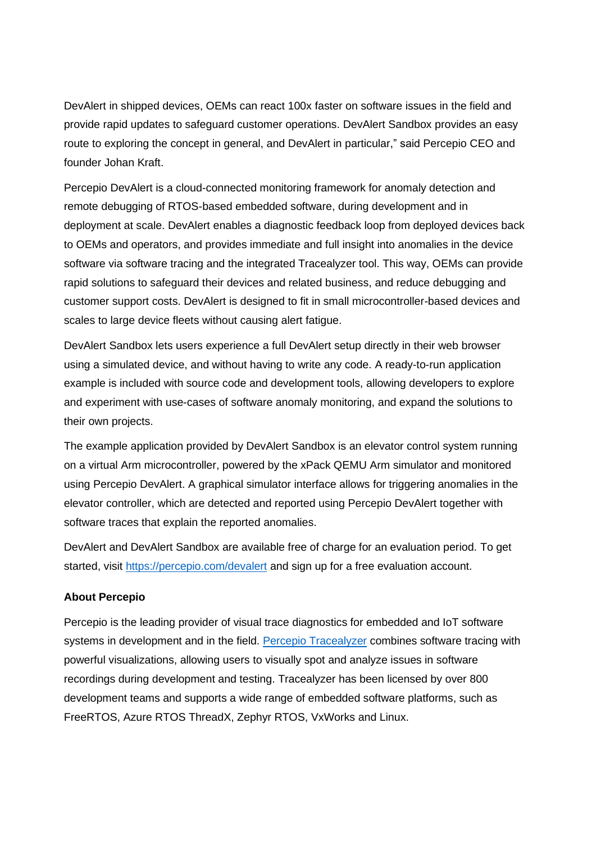DevAlert in shipped devices, OEMs can react 100x faster on software issues in the field and provide rapid updates to safeguard customer operations. DevAlert Sandbox provides an easy route to exploring the concept in general, and DevAlert in particular," said Percepio CEO and founder Johan Kraft.

Percepio DevAlert is a cloud-connected monitoring framework for anomaly detection and remote debugging of RTOS-based embedded software, during development and in deployment at scale. DevAlert enables a diagnostic feedback loop from deployed devices back to OEMs and operators, and provides immediate and full insight into anomalies in the device software via software tracing and the integrated Tracealyzer tool. This way, OEMs can provide rapid solutions to safeguard their devices and related business, and reduce debugging and customer support costs. DevAlert is designed to fit in small microcontroller-based devices and scales to large device fleets without causing alert fatigue.

DevAlert Sandbox lets users experience a full DevAlert setup directly in their web browser using a simulated device, and without having to write any code. A ready-to-run application example is included with source code and development tools, allowing developers to explore and experiment with use-cases of software anomaly monitoring, and expand the solutions to their own projects.

The example application provided by DevAlert Sandbox is an elevator control system running on a virtual Arm microcontroller, powered by the xPack QEMU Arm simulator and monitored using Percepio DevAlert. A graphical simulator interface allows for triggering anomalies in the elevator controller, which are detected and reported using Percepio DevAlert together with software traces that explain the reported anomalies.

DevAlert and DevAlert Sandbox are available free of charge for an evaluation period. To get started, visit [https://percepio.com/devalert](https://percepio.com/devalert?utm_source=devalert&utm_medium=press-release&utm_campaign=DevAlert-Sandbox) and sign up for a free evaluation account.

### **About Percepio**

Percepio is the leading provider of visual trace diagnostics for embedded and IoT software systems in development and in the field. [Percepio Tracealyzer](https://percepio.com/tracealyzer?utm_source=tracealyzer&utm_medium=press-release&utm_campaign=DevAlert-Sandbox) combines software tracing with powerful visualizations, allowing users to visually spot and analyze issues in software recordings during development and testing. Tracealyzer has been licensed by over 800 development teams and supports a wide range of embedded software platforms, such as FreeRTOS, Azure RTOS ThreadX, Zephyr RTOS, VxWorks and Linux.